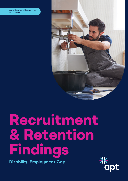Alan Crockert Consulting 14.01.2021



# **Recruitment & Retention Findings**

**Disability Employment Gap**

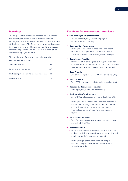# **backdrop**

The purpose of this research report was to evidence the challenges, benefits and outcomes from an employer's perspective when it comes to the retention of disabled people. The forecasted target audience was business owners and HR managers and the proposed methodology was one-to-one interviews through an extensive employer network.

The breakdown of activity undertaken can be summarised as follows:

| Telephone calls:                         |     |
|------------------------------------------|-----|
| One-to-one interviews:                   | 42  |
| No history of employing disabled people: | -23 |
| No response:                             | 16  |

## **Feedback from one-to-one interviews:**

- **Self-employed HR professional:**
	- Out of 11 clients, only 1 client employed someone with a disability.
- **Construction Firm owner:**
	- Employed someone in a wheelchair and spent circa £20k on adjustments to the workplace. Employer was not aware of any available support.
- **• Recruitment Provider:**
	- Workforce of 18 employees, but organisation had only ever recruited one disabled person and offered their reason for leaving as performance related.
- **• Care Provider:**
	- Out of 350 employees, only 7 had a disability (2%).
- **Retail Provider:**
	- Out of 130 employees, only 8 had a disability (6%).
- **Hospitality Recruitment Provider:** - 156 employees, none had a disability.
	-
- **Health and Safety Provider:**
	- Out of 30 employees, only 1 had a disability (3%).
	- Employer indicated that they incurred additional costs due to an upgraded laptop and advanced Microsoft security, but were not aware of any financial support available for these types of adjustments.

#### **• Recruitment Provider:**

- Out of 62 employees over 4 locations, only 1 person had a disability (2%).
- **Health Provider:**
	- 105,000 employees worldwide, but no statistical analysis available re: recruitment levels of disabled people currently/previously employed.
	- Employer highlighted that disabled people assumed low paid roles within the organisation, i.e. mailroom, admin.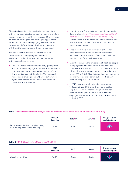These findings highlight the challenges associated with research conducted through employer interviews in order to understand the issues around the retention of disabled employees. The employers approached either did not consider employing disabled people or were unable/unwilling to disclose any reasons attributed to the employment coming to an end.

With this in mind, desktop research was then undertaken to accompany the anecdotal evidence provided through employer interviews, with the results as follows:

**•** The DWP Work, Health and Disability green paper: data pack (2018), highlights that Disabled individuals in employment were more likely to fall out of work than non-disabled individuals. (5.4% of disabled individuals in employment in Q1 were out of work by the next, compared to 2.5% of non-disabled individuals in employment).

- In addition, the Scottish Government labour market flows analysis: https://www.gov.scot/publications/ disabled-people-labour-market-scotland-2018/, confirms that in 2018, disabled people were almost twice as likely to move out of work compared to non-disabled people.
- Labour market flows analysis shows there has been an increase in the proportion of disabled people who have fallen out of work over the latest year but a fall from the baseline year.
- Over the last year, the proportion of disabled people in employment who have fallen out of work has increased – from 8.2% in 2016/17, to 10.0% in 2017/18 (although it also increased for non-disabled people from 4.9% to 5.5%). Disabled people remain generally around twice as likely to fall out of work as nondisabled people (10.0% vs 5.5%).
- In 2018, average pay for disabled employees in Scotland was 8.3% lower than non-disabled employees. This means for every £1 that a nondisabled employee earned in 2018, a disabled employee earned £0.92. ONS, Disability Pay Gaps in the UK: 2018

|                                                                        | 2015/16<br><b>Baseline</b> | 2016/17 | 2017/18 | <b>Progress over</b><br>the latest year |
|------------------------------------------------------------------------|----------------------------|---------|---------|-----------------------------------------|
| Proportion of disabled people moving<br>from employment to not working | 13.5%                      | 8.2%    | 10.0%   |                                         |

## **table 1 -** Scottish Government Analysis of Labour Market Flows based on the Annual Population Survey

### **table 2 -** ONS, Disability Pay Gaps in the UK: 2018

|                    | 2016<br><b>Baseline</b> | 2017  | 2018 | <b>Progress over</b><br>the latest year |
|--------------------|-------------------------|-------|------|-----------------------------------------|
| Disability Pay Gap | 13.8%                   | 13.3% | 8.3% |                                         |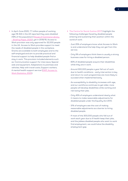- In April-June 2020, 7.7 million people of working age (16-64) in the UK reported they were disabled (19% of the population) (House of Commons Library – Briefing Paper, 2020), yet in 2018/19, Access to Work provision was only approved for 32,000 people in the UK. Access to Work provides support to meet the needs of disabled people in the workplace. Grants are available to both employees and to the self-employed and aim to provide practical and financial support to help disabled people find or stay in work. This provision included elements such as: Communication support for interviews; Special aids and equipment; Adaptations to premises and vehicles; Help with travel costs; Support workers; A mental health support service (DWP, Access to Work Statistics, 2020).
- The Centre for Social Justice (2017) highlight the following challenges faced by disabled people entering and sustaining their position within the world of work:
	- Just 25% of employers know what Access to Work is and understand the help they can get from this service.
	- Only 9% of employers think there is usually a strong business case for hiring a disabled person.
	- 83% of disabled people acquire their disabilities while they are in work.
	- Around 300,000 people a year fall out of work due to health conditions – early intervention is key and return-to-work programmes are more likely to succeed when implemented early.
	- As susceptibility to disability increases with age, and our workforce continues to get older, more people will develop disabilities while working and risk losing their jobs.
	- Only 45% of employers understand clearly what it means to make reasonable adjustments for disabled people under the Equality Act 2010.
	- 31% of employers see the cost of making reasonable adjustments as a barrier to hiring disabled people.
	- If most of the 300,000 people who fall out of work each year due to ill health keep their jobs, and the jobless disabled people who want to work find employment, we could halve the disability employment gap.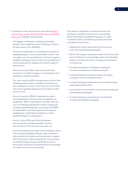- In addition to this, employment specialists Reed in Partnership, supported by leading charity Disability Rights UK, highlight the following:
	- The biggest challenge to employing disabled people is that applicants are not always willing to be open about their disability.
	- Other key challenges to increasing the number of disabled people in work include fellow staff or line managers not having sufficient training to support disabled colleagues, and the lack of accessibility of some businesses for people with certain types of impairments.
	- Almost one in ten (9%) respondents said their business is not able to support an employee with a disability or health condition.
	- The vast majority (84%) of respondents told us that disabled people make a valuable contribution to the workplace, however more than one in ten (12%) worry that disabled people are more likely to take time off work.
	- Around a quarter (26%) of respondents said it was challenging to discuss the management of disabilities. 19% of respondents consider that the cost of modifying equipment makes it expensive to employ disabled people, and almost half (49%) of respondents said that additional funding for adaptations would help businesses to retain disabled people in employment.
	- Almost a third (31%) said that businesses are worried that disabled people will claim discrimination if the job does not work out.
	- Lack of confidence amongst some employers about how to employ disabled people, make workplace adjustments and make use of government support like the Access to Work programme. This can lead to disabled people being overlooked for jobs or leaving the workforce unnecessarily if they develop an impairment during working life.

This research identifies a number of areas that employers consider as barriers to successfully retain and develop disabled employees. In order to address these, the following actions should be considered as priorities:

- Address the myths associated with recruiting and retaining disabled employees.
- Deliver the support employers need to have the skills and confidence to successfully retain more disabled people, including the "fear" of saying and doing the "wrong thing"
- Increase the support available to employers at various employment milestone periods.
- Increase employer awareness about the types of support that is available to them.
- Increase employer awareness around implementing reasonable adjustments.
- Improve the communication flow between employers and disabled employees.
- Increase employer awareness re: the benefits of retaining disabled employees